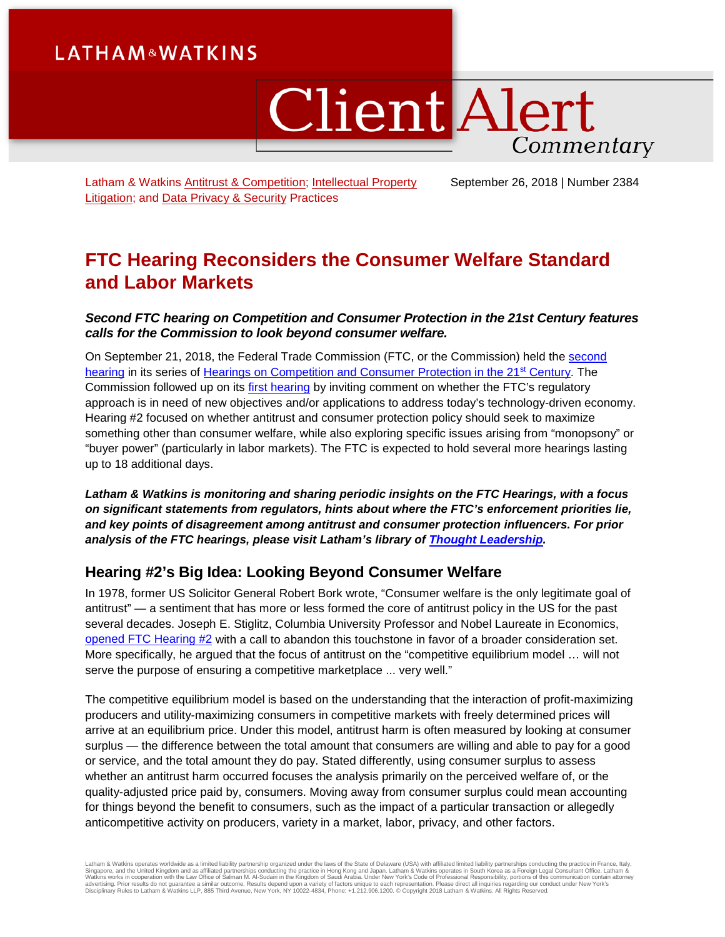# **LATHAM&WATKINS**

# **Client Alert** Commentary

Latham & Watkins [Antitrust & Competition;](https://www.lw.com/practices/AntitrustAndCompetition) [Intellectual Property](https://www.lw.com/practices/IntellectualPropertyLitigation)  [Litigation;](https://www.lw.com/practices/IntellectualPropertyLitigation) and [Data Privacy & Security](https://www.lw.com/practices/DataPrivacy-Security) Practices

September 26, 2018 | Number 2384

# **FTC Hearing Reconsiders the Consumer Welfare Standard and Labor Markets**

## *Second FTC hearing on Competition and Consumer Protection in the 21st Century features calls for the Commission to look beyond consumer welfare.*

On September 21, 2018, the Federal Trade Commission (FTC, or the Commission) held the [second](https://www.ftc.gov/news-events/audio-video/video/ftc-hearing-2-competition-consumer-protection-21st-century-state-us-0)  [hearing](https://www.ftc.gov/news-events/audio-video/video/ftc-hearing-2-competition-consumer-protection-21st-century-state-us-0) in its series of Hearings on Competition and Consumer Protection in the 21<sup>st</sup> Century. The Commission followed up on its [first hearing](https://m.lw.com/thoughtLeadership/lw-ftc-doors-minds-competition-consumer-protection-21st-century) by inviting comment on whether the FTC's regulatory approach is in need of new objectives and/or applications to address today's technology-driven economy. Hearing #2 focused on whether antitrust and consumer protection policy should seek to maximize something other than consumer welfare, while also exploring specific issues arising from "monopsony" or "buyer power" (particularly in labor markets). The FTC is expected to hold several more hearings lasting up to 18 additional days.

*Latham & Watkins is monitoring and sharing periodic insights on the FTC Hearings, with a focus on significant statements from regulators, hints about where the FTC's enforcement priorities lie, and key points of disagreement among antitrust and consumer protection influencers. For prior analysis of the FTC hearings, please visit Latham's library of [Thought Leadership.](https://www.lw.com/thoughtLeadershipSearch.aspx?searchtopicids=87)* 

# **Hearing #2's Big Idea: Looking Beyond Consumer Welfare**

In 1978, former US Solicitor General Robert Bork wrote, "Consumer welfare is the only legitimate goal of antitrust" — a sentiment that has more or less formed the core of antitrust policy in the US for the past several decades. Joseph E. Stiglitz, Columbia University Professor and Nobel Laureate in Economics, [opened FTC Hearing #2](https://www.ftc.gov/news-events/audio-video/video/ftc-hearing-2-competition-consumer-protection-21st-century-state-us-0) with a call to abandon this touchstone in favor of a broader consideration set. More specifically, he argued that the focus of antitrust on the "competitive equilibrium model … will not serve the purpose of ensuring a competitive marketplace ... very well."

The competitive equilibrium model is based on the understanding that the interaction of profit-maximizing producers and utility-maximizing consumers in competitive markets with freely determined prices will arrive at an equilibrium price. Under this model, antitrust harm is often measured by looking at consumer surplus — the difference between the total amount that consumers are willing and able to pay for a good or service, and the total amount they do pay. Stated differently, using consumer surplus to assess whether an antitrust harm occurred focuses the analysis primarily on the perceived welfare of, or the quality-adjusted price paid by, consumers. Moving away from consumer surplus could mean accounting for things beyond the benefit to consumers, such as the impact of a particular transaction or allegedly anticompetitive activity on producers, variety in a market, labor, privacy, and other factors.

Latham & Watkins operates worldwide as a limited liability partnership organized under the laws of the State of Delaware (USA) with affiliated limited liability partnerships conducting the practice in France, Italy,<br>Singap Disciplinary Rules to Latham & Watkins LLP, 885 Third Avenue, New York, NY 10022-4834, Phone: +1.212.906.1200. © Copyright 2018 Latham & Watkins. All Rights Reserved.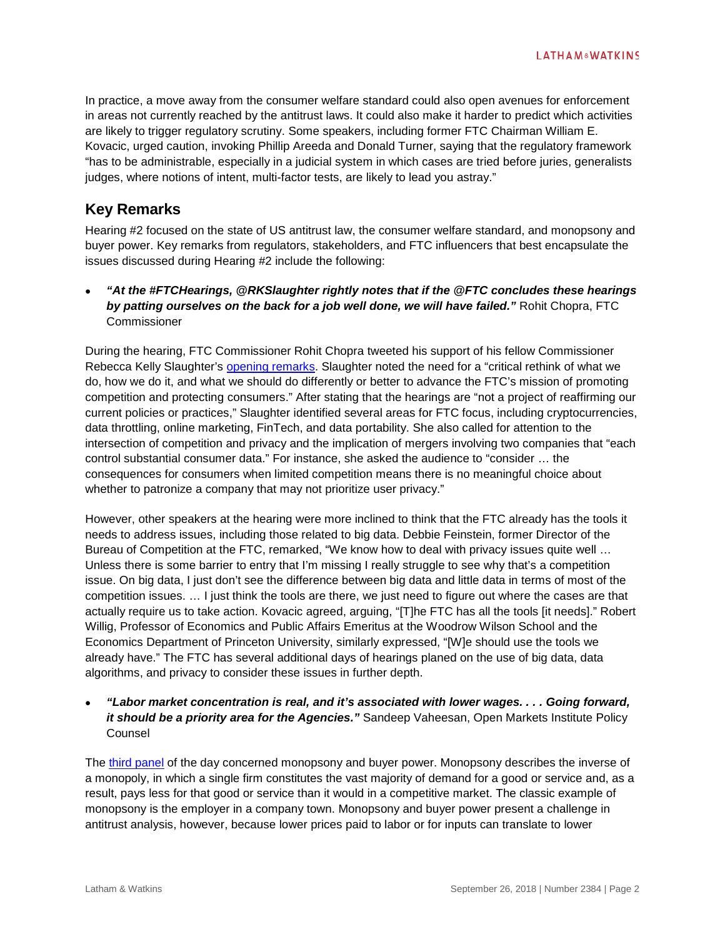In practice, a move away from the consumer welfare standard could also open avenues for enforcement in areas not currently reached by the antitrust laws. It could also make it harder to predict which activities are likely to trigger regulatory scrutiny. Some speakers, including former FTC Chairman William E. Kovacic, urged caution, invoking Phillip Areeda and Donald Turner, saying that the regulatory framework "has to be administrable, especially in a judicial system in which cases are tried before juries, generalists judges, where notions of intent, multi-factor tests, are likely to lead you astray."

## **Key Remarks**

Hearing #2 focused on the state of US antitrust law, the consumer welfare standard, and monopsony and buyer power. Key remarks from regulators, stakeholders, and FTC influencers that best encapsulate the issues discussed during Hearing #2 include the following:

• *"At the #FTCHearings, @RKSlaughter rightly notes that if the @FTC concludes these hearings by patting ourselves on the back for a job well done, we will have failed."* Rohit Chopra, FTC **Commissioner** 

During the hearing, FTC Commissioner Rohit Chopra tweeted his support of his fellow Commissioner Rebecca Kelly Slaughter's [opening remarks.](https://www.ftc.gov/system/files/documents/public_statements/1412049/commissioner_slaughter_opening_remarks_for_ftc_competition_and_consumer_protection_hearings_sept21.pdf) Slaughter noted the need for a "critical rethink of what we do, how we do it, and what we should do differently or better to advance the FTC's mission of promoting competition and protecting consumers." After stating that the hearings are "not a project of reaffirming our current policies or practices," Slaughter identified several areas for FTC focus, including cryptocurrencies, data throttling, online marketing, FinTech, and data portability. She also called for attention to the intersection of competition and privacy and the implication of mergers involving two companies that "each control substantial consumer data." For instance, she asked the audience to "consider … the consequences for consumers when limited competition means there is no meaningful choice about whether to patronize a company that may not prioritize user privacy."

However, other speakers at the hearing were more inclined to think that the FTC already has the tools it needs to address issues, including those related to big data. Debbie Feinstein, former Director of the Bureau of Competition at the FTC, remarked, "We know how to deal with privacy issues quite well … Unless there is some barrier to entry that I'm missing I really struggle to see why that's a competition issue. On big data, I just don't see the difference between big data and little data in terms of most of the competition issues. … I just think the tools are there, we just need to figure out where the cases are that actually require us to take action. Kovacic agreed, arguing, "[T]he FTC has all the tools [it needs]." Robert Willig, Professor of Economics and Public Affairs Emeritus at the Woodrow Wilson School and the Economics Department of Princeton University, similarly expressed, "[W]e should use the tools we already have." The FTC has several additional days of hearings planed on the use of big data, data algorithms, and privacy to consider these issues in further depth.

### • *"Labor market concentration is real, and it's associated with lower wages. . . . Going forward, it should be a priority area for the Agencies."* Sandeep Vaheesan, Open Markets Institute Policy Counsel

The [third panel](https://www.ftc.gov/news-events/audio-video/video/ftc-hearing-2-competition-consumer-protection-21st-century-monopsony) of the day concerned monopsony and buyer power. Monopsony describes the inverse of a monopoly, in which a single firm constitutes the vast majority of demand for a good or service and, as a result, pays less for that good or service than it would in a competitive market. The classic example of monopsony is the employer in a company town. Monopsony and buyer power present a challenge in antitrust analysis, however, because lower prices paid to labor or for inputs can translate to lower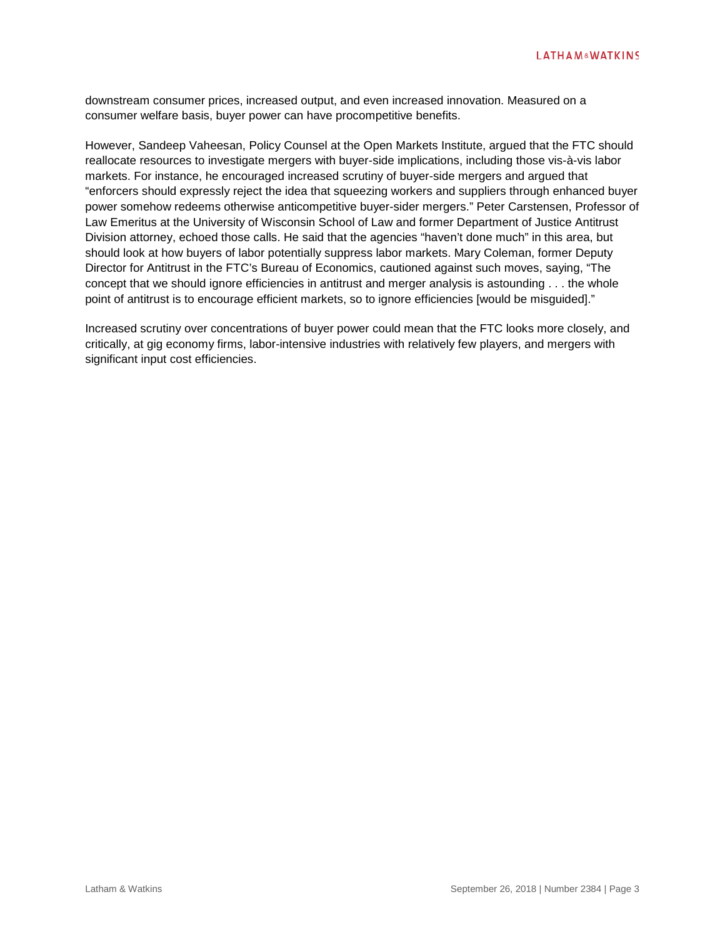downstream consumer prices, increased output, and even increased innovation. Measured on a consumer welfare basis, buyer power can have procompetitive benefits.

However, Sandeep Vaheesan, Policy Counsel at the Open Markets Institute, argued that the FTC should reallocate resources to investigate mergers with buyer-side implications, including those vis-à-vis labor markets. For instance, he encouraged increased scrutiny of buyer-side mergers and argued that "enforcers should expressly reject the idea that squeezing workers and suppliers through enhanced buyer power somehow redeems otherwise anticompetitive buyer-sider mergers." Peter Carstensen, Professor of Law Emeritus at the University of Wisconsin School of Law and former Department of Justice Antitrust Division attorney, echoed those calls. He said that the agencies "haven't done much" in this area, but should look at how buyers of labor potentially suppress labor markets. Mary Coleman, former Deputy Director for Antitrust in the FTC's Bureau of Economics, cautioned against such moves, saying, "The concept that we should ignore efficiencies in antitrust and merger analysis is astounding . . . the whole point of antitrust is to encourage efficient markets, so to ignore efficiencies [would be misguided]."

Increased scrutiny over concentrations of buyer power could mean that the FTC looks more closely, and critically, at gig economy firms, labor-intensive industries with relatively few players, and mergers with significant input cost efficiencies.